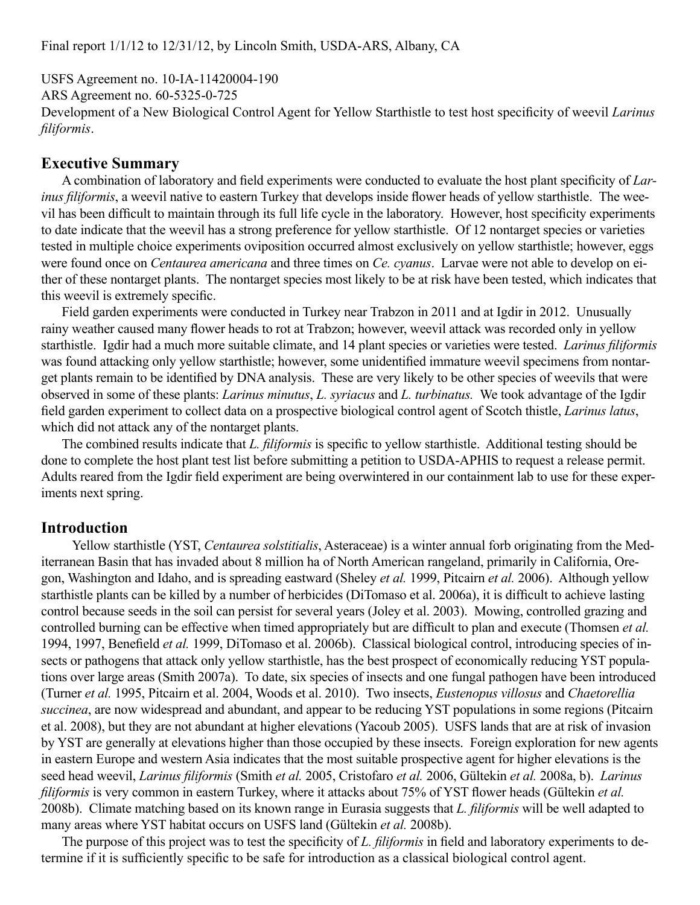USFS Agreement no. 10-IA-11420004-190 ARS Agreement no. 60-5325-0-725 Development of a New Biological Control Agent for Yellow Starthistle to test host specificity of weevil *Larinus filiformis*.

# **Executive Summary**

A combination of laboratory and field experiments were conducted to evaluate the host plant specificity of *Larinus filiformis*, a weevil native to eastern Turkey that develops inside flower heads of yellow starthistle. The weevil has been difficult to maintain through its full life cycle in the laboratory. However, host specificity experiments to date indicate that the weevil has a strong preference for yellow starthistle. Of 12 nontarget species or varieties tested in multiple choice experiments oviposition occurred almost exclusively on yellow starthistle; however, eggs were found once on *Centaurea americana* and three times on *Ce. cyanus*. Larvae were not able to develop on either of these nontarget plants. The nontarget species most likely to be at risk have been tested, which indicates that this weevil is extremely specific.

Field garden experiments were conducted in Turkey near Trabzon in 2011 and at Igdir in 2012. Unusually rainy weather caused many flower heads to rot at Trabzon; however, weevil attack was recorded only in yellow starthistle. Igdir had a much more suitable climate, and 14 plant species or varieties were tested. *Larinus filiformis* was found attacking only yellow starthistle; however, some unidentified immature weevil specimens from nontarget plants remain to be identified by DNA analysis. These are very likely to be other species of weevils that were observed in some of these plants: *Larinus minutus*, *L. syriacus* and *L. turbinatus.* We took advantage of the Igdir field garden experiment to collect data on a prospective biological control agent of Scotch thistle, *Larinus latus*, which did not attack any of the nontarget plants.

The combined results indicate that *L. filiformis* is specific to yellow starthistle. Additional testing should be done to complete the host plant test list before submitting a petition to USDA-APHIS to request a release permit. Adults reared from the Igdir field experiment are being overwintered in our containment lab to use for these experiments next spring.

# **Introduction**

Yellow starthistle (YST, *Centaurea solstitialis*, Asteraceae) is a winter annual forb originating from the Mediterranean Basin that has invaded about 8 million ha of North American rangeland, primarily in California, Oregon, Washington and Idaho, and is spreading eastward (Sheley *et al.* 1999, Pitcairn *et al.* 2006). Although yellow starthistle plants can be killed by a number of herbicides (DiTomaso et al. 2006a), it is difficult to achieve lasting control because seeds in the soil can persist for several years (Joley et al. 2003). Mowing, controlled grazing and controlled burning can be effective when timed appropriately but are difficult to plan and execute (Thomsen *et al.*  1994, 1997, Benefield *et al.* 1999, DiTomaso et al. 2006b). Classical biological control, introducing species of insects or pathogens that attack only yellow starthistle, has the best prospect of economically reducing YST populations over large areas (Smith 2007a). To date, six species of insects and one fungal pathogen have been introduced (Turner *et al.* 1995, Pitcairn et al. 2004, Woods et al. 2010). Two insects, *Eustenopus villosus* and *Chaetorellia succinea*, are now widespread and abundant, and appear to be reducing YST populations in some regions (Pitcairn et al. 2008), but they are not abundant at higher elevations (Yacoub 2005). USFS lands that are at risk of invasion by YST are generally at elevations higher than those occupied by these insects. Foreign exploration for new agents in eastern Europe and western Asia indicates that the most suitable prospective agent for higher elevations is the seed head weevil, *Larinus filiformis* (Smith *et al.* 2005, Cristofaro *et al.* 2006, Gültekin *et al.* 2008a, b). *Larinus filiformis* is very common in eastern Turkey, where it attacks about 75% of YST flower heads (Gültekin *et al.* 2008b). Climate matching based on its known range in Eurasia suggests that *L. filiformis* will be well adapted to many areas where YST habitat occurs on USFS land (Gültekin *et al.* 2008b).

The purpose of this project was to test the specificity of *L. filiformis* in field and laboratory experiments to determine if it is sufficiently specific to be safe for introduction as a classical biological control agent.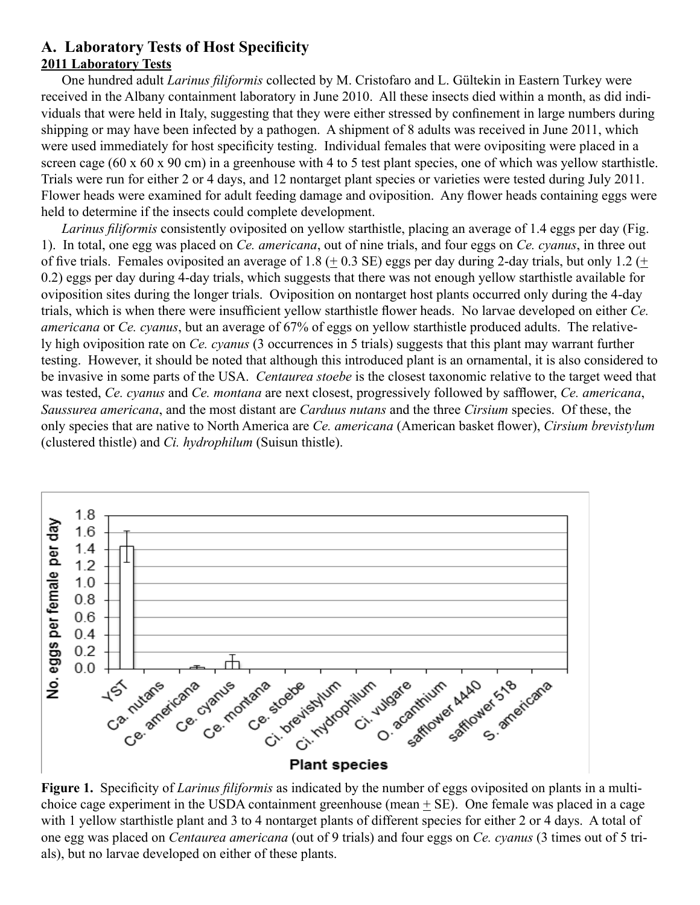# **A. Laboratory Tests of Host Specificity 2011 Laboratory Tests**

One hundred adult *Larinus filiformis* collected by M. Cristofaro and L. Gültekin in Eastern Turkey were received in the Albany containment laboratory in June 2010. All these insects died within a month, as did individuals that were held in Italy, suggesting that they were either stressed by confinement in large numbers during shipping or may have been infected by a pathogen. A shipment of 8 adults was received in June 2011, which were used immediately for host specificity testing. Individual females that were ovipositing were placed in a screen cage (60 x 60 x 90 cm) in a greenhouse with 4 to 5 test plant species, one of which was yellow starthistle. Trials were run for either 2 or 4 days, and 12 nontarget plant species or varieties were tested during July 2011. Flower heads were examined for adult feeding damage and oviposition. Any flower heads containing eggs were held to determine if the insects could complete development.

*Larinus filiformis* consistently oviposited on yellow starthistle, placing an average of 1.4 eggs per day (Fig. 1). In total, one egg was placed on *Ce. americana*, out of nine trials, and four eggs on *Ce. cyanus*, in three out of five trials. Females oviposited an average of 1.8 ( $\pm$  0.3 SE) eggs per day during 2-day trials, but only 1.2 ( $\pm$ 0.2) eggs per day during 4-day trials, which suggests that there was not enough yellow starthistle available for oviposition sites during the longer trials. Oviposition on nontarget host plants occurred only during the 4-day trials, which is when there were insufficient yellow starthistle flower heads. No larvae developed on either *Ce. americana* or *Ce. cyanus*, but an average of 67% of eggs on yellow starthistle produced adults. The relatively high oviposition rate on *Ce. cyanus* (3 occurrences in 5 trials) suggests that this plant may warrant further testing. However, it should be noted that although this introduced plant is an ornamental, it is also considered to be invasive in some parts of the USA. *Centaurea stoebe* is the closest taxonomic relative to the target weed that was tested, *Ce. cyanus* and *Ce. montana* are next closest, progressively followed by safflower, *Ce. americana*, *Saussurea americana*, and the most distant are *Carduus nutans* and the three *Cirsium* species. Of these, the only species that are native to North America are *Ce. americana* (American basket flower), *Cirsium brevistylum* (clustered thistle) and *Ci. hydrophilum* (Suisun thistle).



**Figure 1.** Specificity of *Larinus filiformis* as indicated by the number of eggs oviposited on plants in a multichoice cage experiment in the USDA containment greenhouse (mean + SE). One female was placed in a cage with 1 yellow starthistle plant and 3 to 4 nontarget plants of different species for either 2 or 4 days. A total of one egg was placed on *Centaurea americana* (out of 9 trials) and four eggs on *Ce. cyanus* (3 times out of 5 trials), but no larvae developed on either of these plants.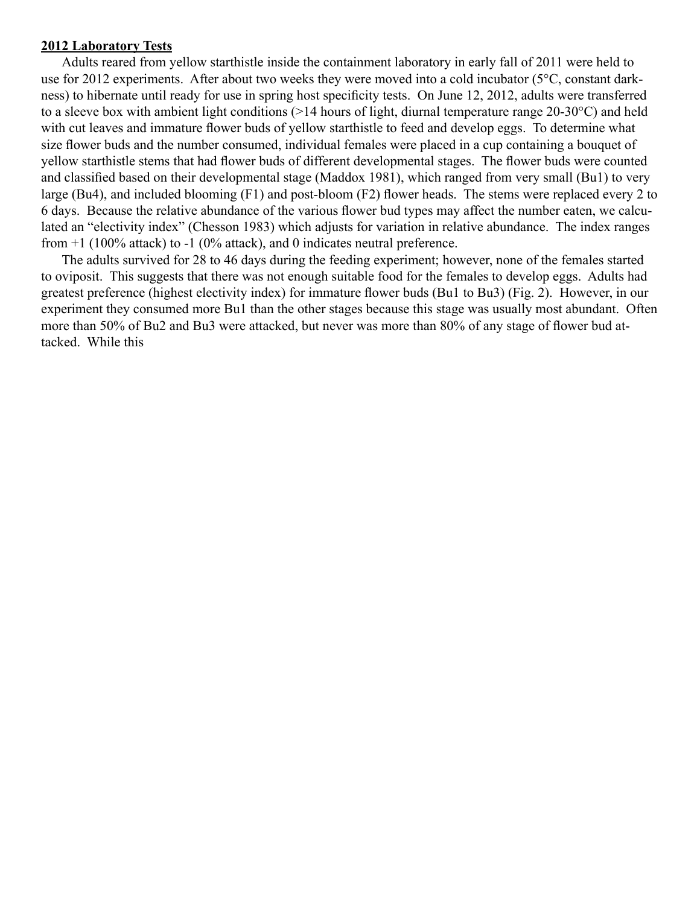#### **2012 Laboratory Tests**

Adults reared from yellow starthistle inside the containment laboratory in early fall of 2011 were held to use for 2012 experiments. After about two weeks they were moved into a cold incubator (5°C, constant darkness) to hibernate until ready for use in spring host specificity tests. On June 12, 2012, adults were transferred to a sleeve box with ambient light conditions (>14 hours of light, diurnal temperature range 20-30°C) and held with cut leaves and immature flower buds of yellow starthistle to feed and develop eggs. To determine what size flower buds and the number consumed, individual females were placed in a cup containing a bouquet of yellow starthistle stems that had flower buds of different developmental stages. The flower buds were counted and classified based on their developmental stage (Maddox 1981), which ranged from very small (Bu1) to very large (Bu4), and included blooming (F1) and post-bloom (F2) flower heads. The stems were replaced every 2 to 6 days. Because the relative abundance of the various flower bud types may affect the number eaten, we calculated an "electivity index" (Chesson 1983) which adjusts for variation in relative abundance. The index ranges from  $+1$  (100% attack) to  $-1$  (0% attack), and 0 indicates neutral preference.

The adults survived for 28 to 46 days during the feeding experiment; however, none of the females started to oviposit. This suggests that there was not enough suitable food for the females to develop eggs. Adults had greatest preference (highest electivity index) for immature flower buds (Bu1 to Bu3) (Fig. 2). However, in our experiment they consumed more Bu1 than the other stages because this stage was usually most abundant. Often more than 50% of Bu2 and Bu3 were attacked, but never was more than 80% of any stage of flower bud attacked. While this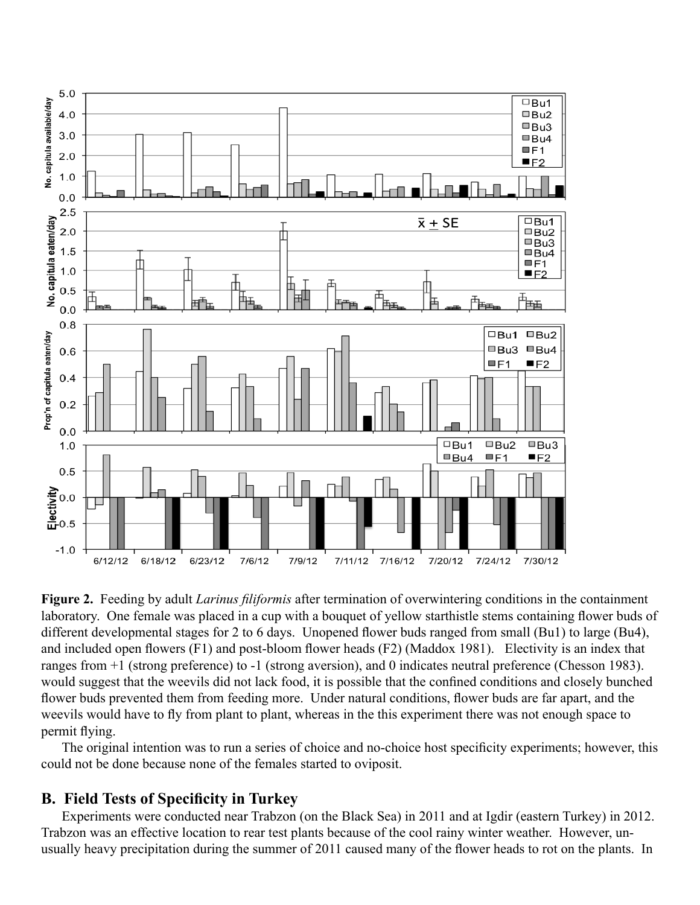

**Figure 2.** Feeding by adult *Larinus filiformis* after termination of overwintering conditions in the containment laboratory. One female was placed in a cup with a bouquet of yellow starthistle stems containing flower buds of different developmental stages for 2 to 6 days. Unopened flower buds ranged from small (Bu1) to large (Bu4), and included open flowers (F1) and post-bloom flower heads (F2) (Maddox 1981). Electivity is an index that ranges from +1 (strong preference) to -1 (strong aversion), and 0 indicates neutral preference (Chesson 1983). would suggest that the weevils did not lack food, it is possible that the confined conditions and closely bunched flower buds prevented them from feeding more. Under natural conditions, flower buds are far apart, and the weevils would have to fly from plant to plant, whereas in the this experiment there was not enough space to permit flying.

The original intention was to run a series of choice and no-choice host specificity experiments; however, this could not be done because none of the females started to oviposit.

### **B. Field Tests of Specificity in Turkey**

Experiments were conducted near Trabzon (on the Black Sea) in 2011 and at Igdir (eastern Turkey) in 2012. Trabzon was an effective location to rear test plants because of the cool rainy winter weather. However, unusually heavy precipitation during the summer of 2011 caused many of the flower heads to rot on the plants. In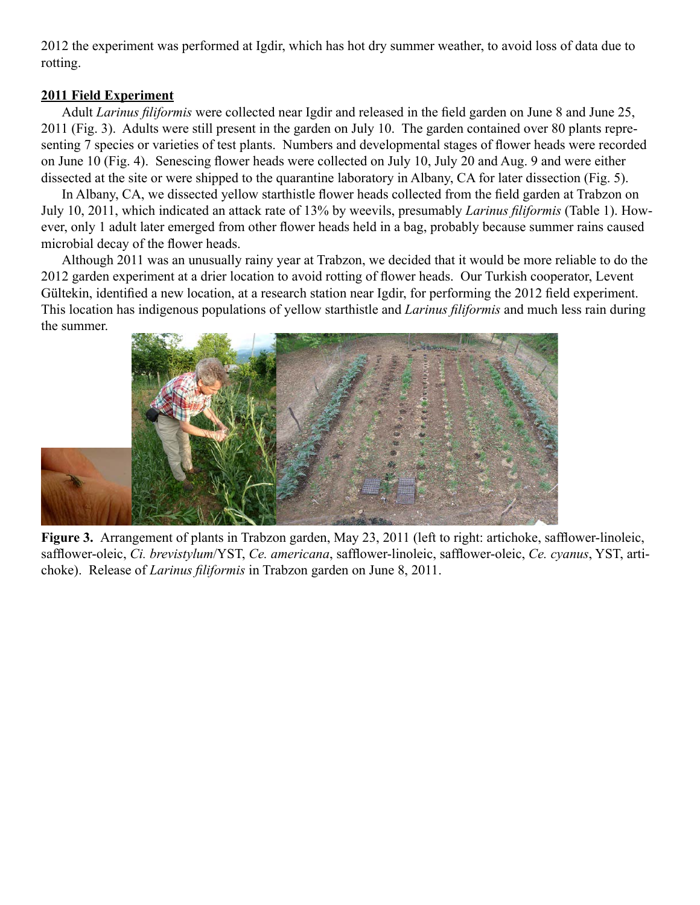2012 the experiment was performed at Igdir, which has hot dry summer weather, to avoid loss of data due to rotting.

#### **2011 Field Experiment**

Adult *Larinus filiformis* were collected near Igdir and released in the field garden on June 8 and June 25, 2011 (Fig. 3). Adults were still present in the garden on July 10. The garden contained over 80 plants representing 7 species or varieties of test plants. Numbers and developmental stages of flower heads were recorded on June 10 (Fig. 4). Senescing flower heads were collected on July 10, July 20 and Aug. 9 and were either dissected at the site or were shipped to the quarantine laboratory in Albany, CA for later dissection (Fig. 5).

In Albany, CA, we dissected yellow starthistle flower heads collected from the field garden at Trabzon on July 10, 2011, which indicated an attack rate of 13% by weevils, presumably *Larinus filiformis* (Table 1). However, only 1 adult later emerged from other flower heads held in a bag, probably because summer rains caused microbial decay of the flower heads.

Although 2011 was an unusually rainy year at Trabzon, we decided that it would be more reliable to do the 2012 garden experiment at a drier location to avoid rotting of flower heads. Our Turkish cooperator, Levent Gültekin, identified a new location, at a research station near Igdir, for performing the 2012 field experiment. This location has indigenous populations of yellow starthistle and *Larinus filiformis* and much less rain during the summer.



**Figure 3.** Arrangement of plants in Trabzon garden, May 23, 2011 (left to right: artichoke, safflower-linoleic, safflower-oleic, *Ci. brevistylum*/YST, *Ce. americana*, safflower-linoleic, safflower-oleic, *Ce. cyanus*, YST, artichoke). Release of *Larinus filiformis* in Trabzon garden on June 8, 2011.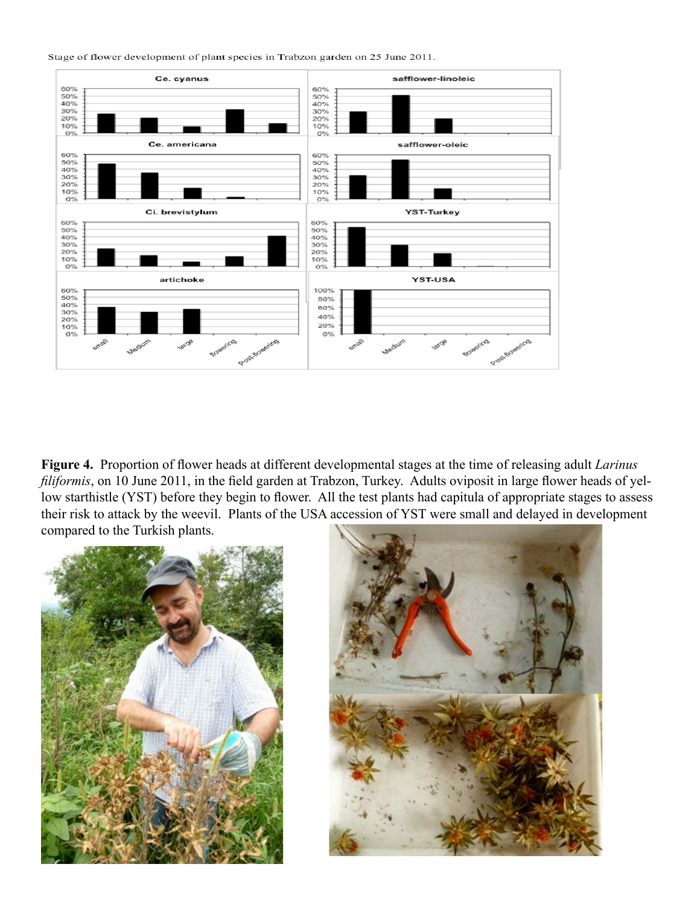Stage of flower development of plant species in Trabzon garden on 25 June 2011.



**Figure 4.** Proportion of flower heads at different developmental stages at the time of releasing adult *Larinus filiformis*, on 10 June 2011, in the field garden at Trabzon, Turkey. Adults oviposit in large flower heads of yellow starthistle (YST) before they begin to flower. All the test plants had capitula of appropriate stages to assess their risk to attack by the weevil. Plants of the USA accession of YST were small and delayed in development compared to the Turkish plants.



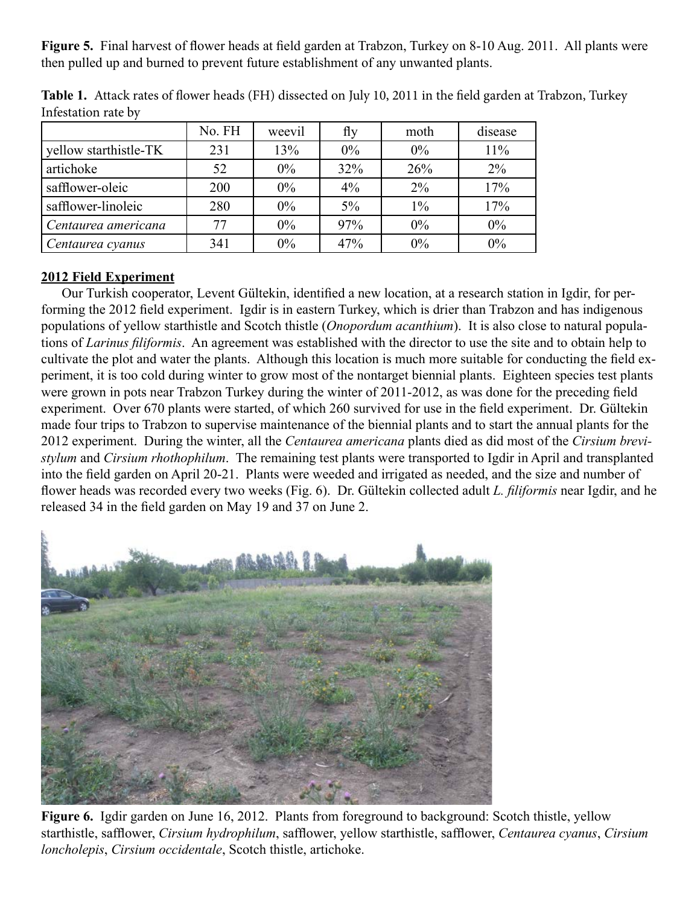**Figure 5.** Final harvest of flower heads at field garden at Trabzon, Turkey on 8-10 Aug. 2011. All plants were then pulled up and burned to prevent future establishment of any unwanted plants.

|                       | No. FH | weevil | fly   | moth  | disease |
|-----------------------|--------|--------|-------|-------|---------|
| yellow starthistle-TK | 231    | 13%    | $0\%$ | $0\%$ | 11%     |
| artichoke             | 52     | $0\%$  | 32%   | 26%   | $2\%$   |
| safflower-oleic       | 200    | $0\%$  | $4\%$ | $2\%$ | 17%     |
| safflower-linoleic    | 280    | $0\%$  | $5\%$ | $1\%$ | 17%     |
| Centaurea americana   | 77     | $0\%$  | 97%   | 0%    | $0\%$   |
| Centaurea cyanus      | 341    | $0\%$  | 47%   | 0%    | 0%      |

**Table 1.** Attack rates of flower heads (FH) dissected on July 10, 2011 in the field garden at Trabzon, Turkey Infestation rate by

# **2012 Field Experiment**

Our Turkish cooperator, Levent Gültekin, identified a new location, at a research station in Igdir, for performing the 2012 field experiment. Igdir is in eastern Turkey, which is drier than Trabzon and has indigenous populations of yellow starthistle and Scotch thistle (*Onopordum acanthium*). It is also close to natural populations of *Larinus filiformis*. An agreement was established with the director to use the site and to obtain help to cultivate the plot and water the plants. Although this location is much more suitable for conducting the field experiment, it is too cold during winter to grow most of the nontarget biennial plants. Eighteen species test plants were grown in pots near Trabzon Turkey during the winter of 2011-2012, as was done for the preceding field experiment. Over 670 plants were started, of which 260 survived for use in the field experiment. Dr. Gültekin made four trips to Trabzon to supervise maintenance of the biennial plants and to start the annual plants for the 2012 experiment. During the winter, all the *Centaurea americana* plants died as did most of the *Cirsium brevistylum* and *Cirsium rhothophilum*. The remaining test plants were transported to Igdir in April and transplanted into the field garden on April 20-21. Plants were weeded and irrigated as needed, and the size and number of flower heads was recorded every two weeks (Fig. 6). Dr. Gültekin collected adult *L. filiformis* near Igdir, and he released 34 in the field garden on May 19 and 37 on June 2.



**Figure 6.** Igdir garden on June 16, 2012. Plants from foreground to background: Scotch thistle, yellow starthistle, safflower, *Cirsium hydrophilum*, safflower, yellow starthistle, safflower, *Centaurea cyanus*, *Cirsium loncholepis*, *Cirsium occidentale*, Scotch thistle, artichoke.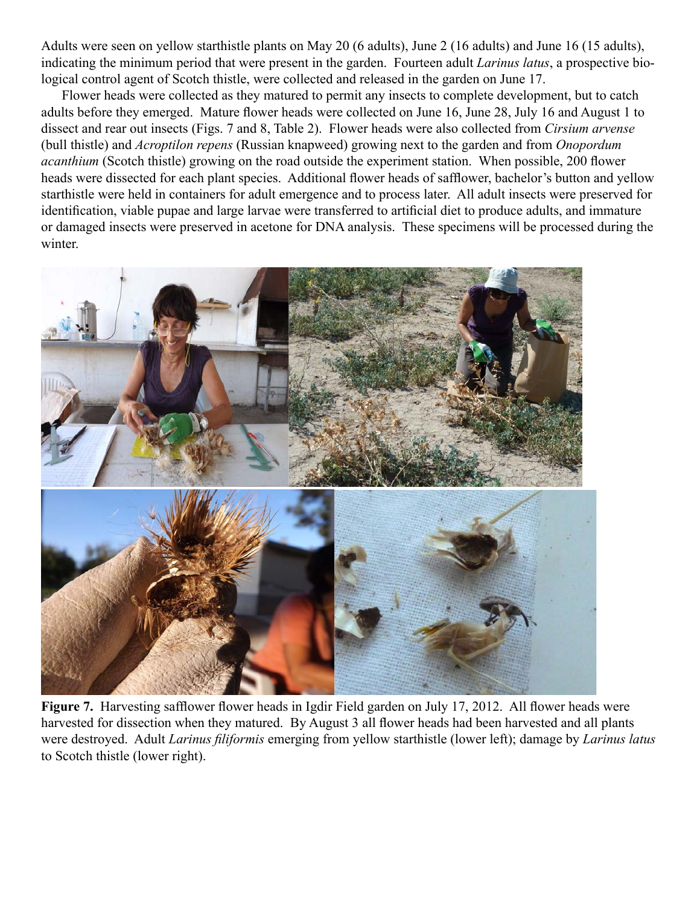Adults were seen on yellow starthistle plants on May 20 (6 adults), June 2 (16 adults) and June 16 (15 adults), indicating the minimum period that were present in the garden. Fourteen adult *Larinus latus*, a prospective biological control agent of Scotch thistle, were collected and released in the garden on June 17.

Flower heads were collected as they matured to permit any insects to complete development, but to catch adults before they emerged. Mature flower heads were collected on June 16, June 28, July 16 and August 1 to dissect and rear out insects (Figs. 7 and 8, Table 2). Flower heads were also collected from *Cirsium arvense* (bull thistle) and *Acroptilon repens* (Russian knapweed) growing next to the garden and from *Onopordum acanthium* (Scotch thistle) growing on the road outside the experiment station. When possible, 200 flower heads were dissected for each plant species. Additional flower heads of safflower, bachelor's button and yellow starthistle were held in containers for adult emergence and to process later. All adult insects were preserved for identification, viable pupae and large larvae were transferred to artificial diet to produce adults, and immature or damaged insects were preserved in acetone for DNA analysis. These specimens will be processed during the winter.



Figure 7. Harvesting safflower flower heads in Igdir Field garden on July 17, 2012. All flower heads were harvested for dissection when they matured. By August 3 all flower heads had been harvested and all plants were destroyed. Adult *Larinus filiformis* emerging from yellow starthistle (lower left); damage by *Larinus latus* to Scotch thistle (lower right).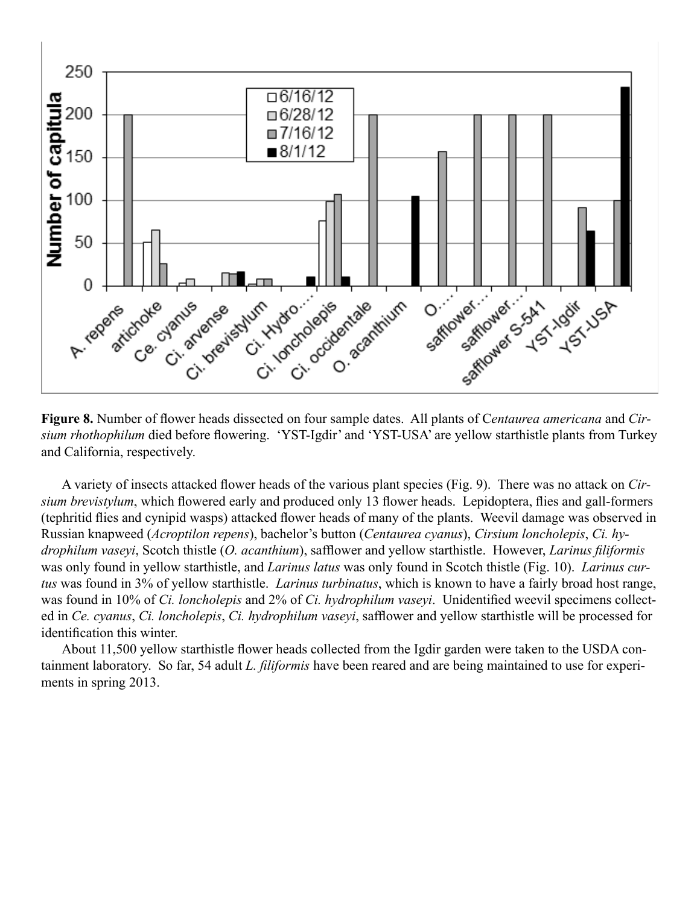

**Figure 8.** Number of flower heads dissected on four sample dates. All plants of C*entaurea americana* and *Cirsium rhothophilum* died before flowering. 'YST-Igdir' and 'YST-USA' are yellow starthistle plants from Turkey and California, respectively.

A variety of insects attacked flower heads of the various plant species (Fig. 9). There was no attack on *Cirsium brevistylum*, which flowered early and produced only 13 flower heads. Lepidoptera, flies and gall-formers (tephritid flies and cynipid wasps) attacked flower heads of many of the plants. Weevil damage was observed in Russian knapweed (*Acroptilon repens*), bachelor's button (*Centaurea cyanus*), *Cirsium loncholepis*, *Ci. hydrophilum vaseyi*, Scotch thistle (*O. acanthium*), safflower and yellow starthistle. However, *Larinus filiformis* was only found in yellow starthistle, and *Larinus latus* was only found in Scotch thistle (Fig. 10). *Larinus curtus* was found in 3% of yellow starthistle. *Larinus turbinatus*, which is known to have a fairly broad host range, was found in 10% of *Ci. loncholepis* and 2% of *Ci. hydrophilum vaseyi*. Unidentified weevil specimens collected in *Ce. cyanus*, *Ci. loncholepis*, *Ci. hydrophilum vaseyi*, safflower and yellow starthistle will be processed for identification this winter.

About 11,500 yellow starthistle flower heads collected from the Igdir garden were taken to the USDA containment laboratory. So far, 54 adult *L. filiformis* have been reared and are being maintained to use for experiments in spring 2013.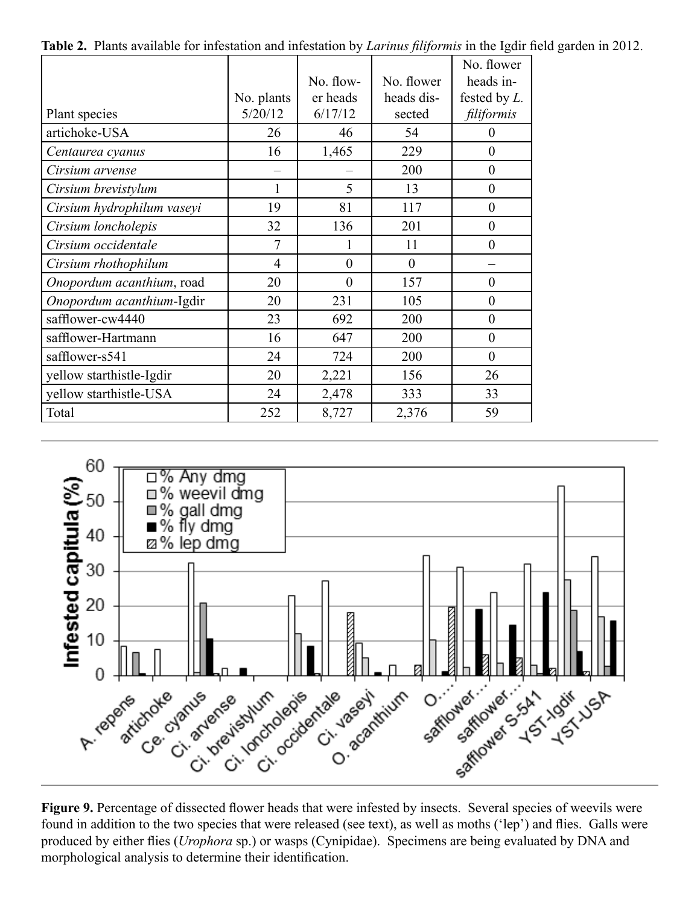|                            |                |           |                | No. flower       |
|----------------------------|----------------|-----------|----------------|------------------|
|                            |                | No. flow- | No. flower     | heads in-        |
|                            | No. plants     | er heads  | heads dis-     | fested by L.     |
| Plant species              | 5/20/12        | 6/17/12   | sected         | filiformis       |
| artichoke-USA              | 26             | 46        | 54             | $\theta$         |
| Centaurea cyanus           | 16             | 1,465     | 229            | $\boldsymbol{0}$ |
| Cirsium arvense            |                |           | 200            | $\boldsymbol{0}$ |
| Cirsium brevistylum        |                | 5         | 13             | $\boldsymbol{0}$ |
| Cirsium hydrophilum vaseyi | 19             | 81        | 117            | $\theta$         |
| Cirsium loncholepis        | 32             | 136       | 201            | $\boldsymbol{0}$ |
| Cirsium occidentale        | 7              |           | 11             | $\overline{0}$   |
| Cirsium rhothophilum       | $\overline{4}$ | $\theta$  | $\overline{0}$ |                  |
| Onopordum acanthium, road  | 20             | $\theta$  | 157            | $\boldsymbol{0}$ |
| Onopordum acanthium-Igdir  | 20             | 231       | 105            | $\theta$         |
| safflower-cw4440           | 23             | 692       | 200            | $\boldsymbol{0}$ |
| safflower-Hartmann         | 16             | 647       | 200            | $\overline{0}$   |
| safflower-s541             | 24             | 724       | 200            | $\overline{0}$   |
| yellow starthistle-Igdir   | 20             | 2,221     | 156            | 26               |
| yellow starthistle-USA     | 24             | 2,478     | 333            | 33               |
| Total                      | 252            | 8,727     | 2,376          | 59               |

**Table 2.** Plants available for infestation and infestation by *Larinus filiformis* in the Igdir field garden in 2012.



Figure 9. Percentage of dissected flower heads that were infested by insects. Several species of weevils were found in addition to the two species that were released (see text), as well as moths ('lep') and flies. Galls were produced by either flies (*Urophora* sp.) or wasps (Cynipidae). Specimens are being evaluated by DNA and morphological analysis to determine their identification.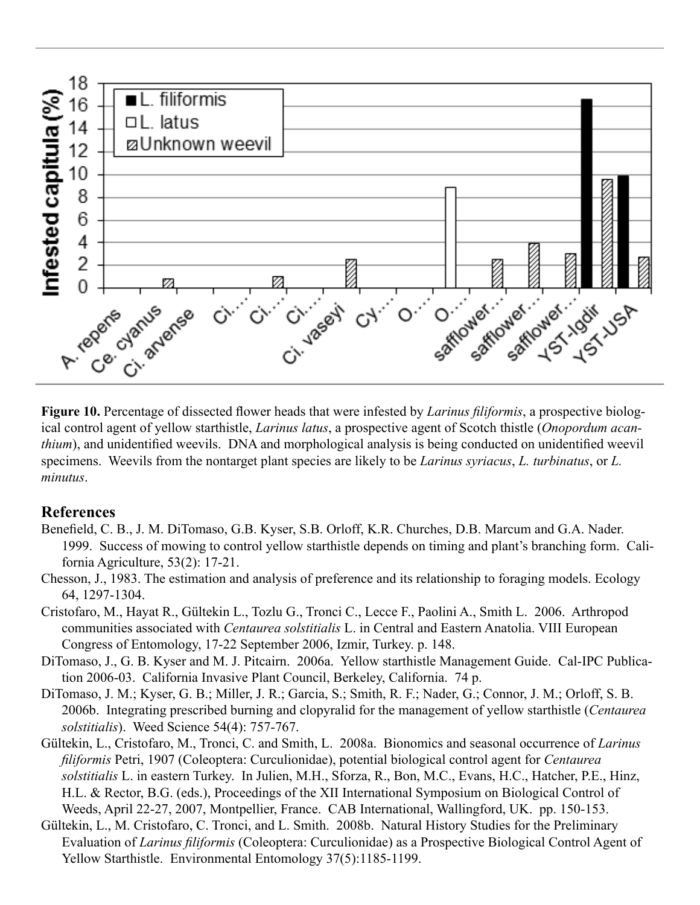

**Figure 10.** Percentage of dissected flower heads that were infested by *Larinus filiformis*, a prospective biological control agent of yellow starthistle, *Larinus latus*, a prospective agent of Scotch thistle (*Onopordum acanthium*), and unidentified weevils. DNA and morphological analysis is being conducted on unidentified weevil specimens. Weevils from the nontarget plant species are likely to be *Larinus syriacus*, *L. turbinatus*, or *L. minutus*.

#### **References**

- Benefield, C. B., J. M. DiTomaso, G.B. Kyser, S.B. Orloff, K.R. Churches, D.B. Marcum and G.A. Nader. 1999. Success of mowing to control yellow starthistle depends on timing and plant's branching form. California Agriculture, 53(2): 17-21.
- Chesson, J., 1983. The estimation and analysis of preference and its relationship to foraging models. Ecology 64, 1297-1304.
- Cristofaro, M., Hayat R., Gültekin L., Tozlu G., Tronci C., Lecce F., Paolini A., Smith L. 2006. Arthropod communities associated with *Centaurea solstitialis* L. in Central and Eastern Anatolia. VIII European Congress of Entomology, 17-22 September 2006, Izmir, Turkey. p. 148.
- DiTomaso, J., G. B. Kyser and M. J. Pitcairn. 2006a. Yellow starthistle Management Guide. Cal-IPC Publication 2006-03. California Invasive Plant Council, Berkeley, California. 74 p.
- DiTomaso, J. M.; Kyser, G. B.; Miller, J. R.; Garcia, S.; Smith, R. F.; Nader, G.; Connor, J. M.; Orloff, S. B. 2006b. Integrating prescribed burning and clopyralid for the management of yellow starthistle (*Centaurea solstitialis*). Weed Science 54(4): 757-767.
- Gültekin, L., Cristofaro, M., Tronci, C. and Smith, L. 2008a. Bionomics and seasonal occurrence of *Larinus filiformis* Petri, 1907 (Coleoptera: Curculionidae), potential biological control agent for *Centaurea solstitialis* L. in eastern Turkey. In Julien, M.H., Sforza, R., Bon, M.C., Evans, H.C., Hatcher, P.E., Hinz, H.L. & Rector, B.G. (eds.), Proceedings of the XII International Symposium on Biological Control of Weeds, April 22-27, 2007, Montpellier, France. CAB International, Wallingford, UK. pp. 150-153.
- Gültekin, L., M. Cristofaro, C. Tronci, and L. Smith. 2008b. Natural History Studies for the Preliminary Evaluation of *Larinus filiformis* (Coleoptera: Curculionidae) as a Prospective Biological Control Agent of Yellow Starthistle. Environmental Entomology 37(5):1185-1199.